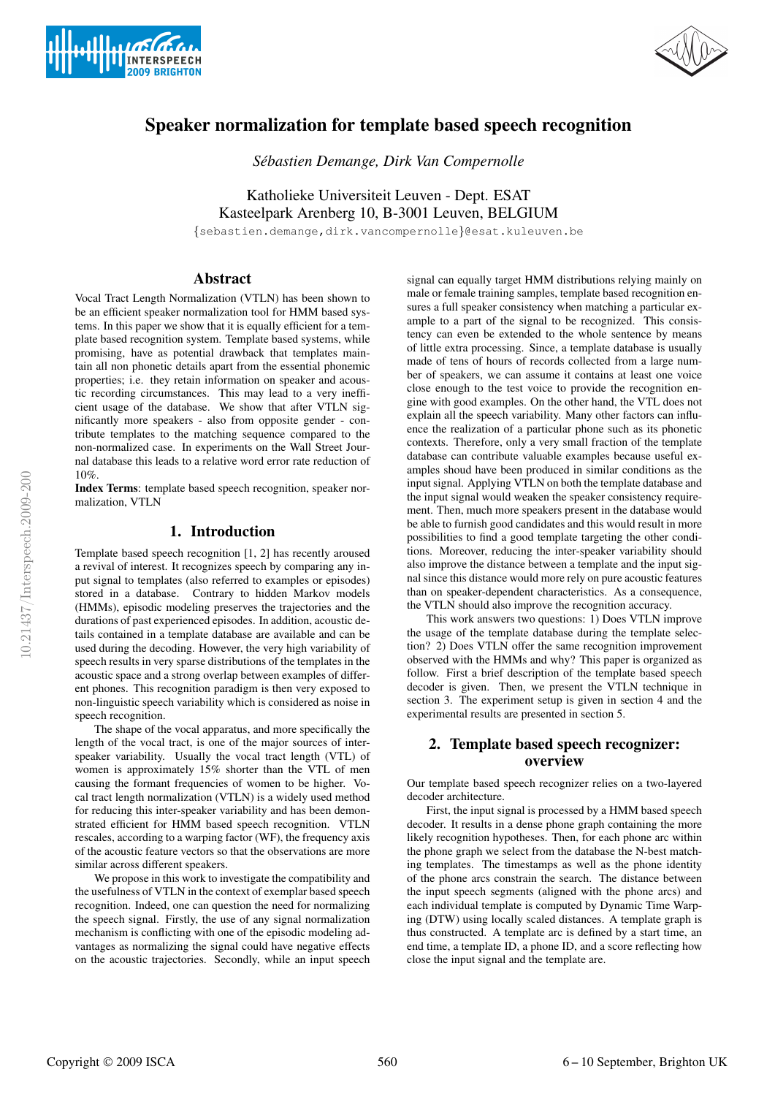



# Speaker normalization for template based speech recognition

*Sebastien Demange, Dirk Van Compernolle ´*

Katholieke Universiteit Leuven - Dept. ESAT Kasteelpark Arenberg 10, B-3001 Leuven, BELGIUM

{sebastien.demange,dirk.vancompernolle}@esat.kuleuven.be

# Abstract

Vocal Tract Length Normalization (VTLN) has been shown to be an efficient speaker normalization tool for HMM based systems. In this paper we show that it is equally efficient for a template based recognition system. Template based systems, while promising, have as potential drawback that templates maintain all non phonetic details apart from the essential phonemic properties; i.e. they retain information on speaker and acoustic recording circumstances. This may lead to a very inefficient usage of the database. We show that after VTLN significantly more speakers - also from opposite gender - contribute templates to the matching sequence compared to the non-normalized case. In experiments on the Wall Street Journal database this leads to a relative word error rate reduction of 10%.

Index Terms: template based speech recognition, speaker normalization, VTLN

# 1. Introduction

Template based speech recognition [1, 2] has recently aroused a revival of interest. It recognizes speech by comparing any input signal to templates (also referred to examples or episodes) stored in a database. Contrary to hidden Markov models (HMMs), episodic modeling preserves the trajectories and the durations of past experienced episodes. In addition, acoustic details contained in a template database are available and can be used during the decoding. However, the very high variability of speech results in very sparse distributions of the templates in the acoustic space and a strong overlap between examples of different phones. This recognition paradigm is then very exposed to non-linguistic speech variability which is considered as noise in speech recognition.

The shape of the vocal apparatus, and more specifically the length of the vocal tract, is one of the major sources of interspeaker variability. Usually the vocal tract length (VTL) of women is approximately 15% shorter than the VTL of men causing the formant frequencies of women to be higher. Vocal tract length normalization (VTLN) is a widely used method for reducing this inter-speaker variability and has been demonstrated efficient for HMM based speech recognition. VTLN rescales, according to a warping factor (WF), the frequency axis of the acoustic feature vectors so that the observations are more similar across different speakers.

We propose in this work to investigate the compatibility and the usefulness of VTLN in the context of exemplar based speech recognition. Indeed, one can question the need for normalizing the speech signal. Firstly, the use of any signal normalization mechanism is conflicting with one of the episodic modeling advantages as normalizing the signal could have negative effects on the acoustic trajectories. Secondly, while an input speech

signal can equally target HMM distributions relying mainly on male or female training samples, template based recognition ensures a full speaker consistency when matching a particular example to a part of the signal to be recognized. This consistency can even be extended to the whole sentence by means of little extra processing. Since, a template database is usually made of tens of hours of records collected from a large number of speakers, we can assume it contains at least one voice close enough to the test voice to provide the recognition engine with good examples. On the other hand, the VTL does not explain all the speech variability. Many other factors can influence the realization of a particular phone such as its phonetic contexts. Therefore, only a very small fraction of the template database can contribute valuable examples because useful examples shoud have been produced in similar conditions as the input signal. Applying VTLN on both the template database and the input signal would weaken the speaker consistency requirement. Then, much more speakers present in the database would be able to furnish good candidates and this would result in more possibilities to find a good template targeting the other conditions. Moreover, reducing the inter-speaker variability should also improve the distance between a template and the input signal since this distance would more rely on pure acoustic features than on speaker-dependent characteristics. As a consequence, the VTLN should also improve the recognition accuracy.

This work answers two questions: 1) Does VTLN improve the usage of the template database during the template selection? 2) Does VTLN offer the same recognition improvement observed with the HMMs and why? This paper is organized as follow. First a brief description of the template based speech decoder is given. Then, we present the VTLN technique in section 3. The experiment setup is given in section 4 and the experimental results are presented in section 5.

# 2. Template based speech recognizer: overview

Our template based speech recognizer relies on a two-layered decoder architecture.

First, the input signal is processed by a HMM based speech decoder. It results in a dense phone graph containing the more likely recognition hypotheses. Then, for each phone arc within the phone graph we select from the database the N-best matching templates. The timestamps as well as the phone identity of the phone arcs constrain the search. The distance between the input speech segments (aligned with the phone arcs) and each individual template is computed by Dynamic Time Warping (DTW) using locally scaled distances. A template graph is thus constructed. A template arc is defined by a start time, an end time, a template ID, a phone ID, and a score reflecting how close the input signal and the template are.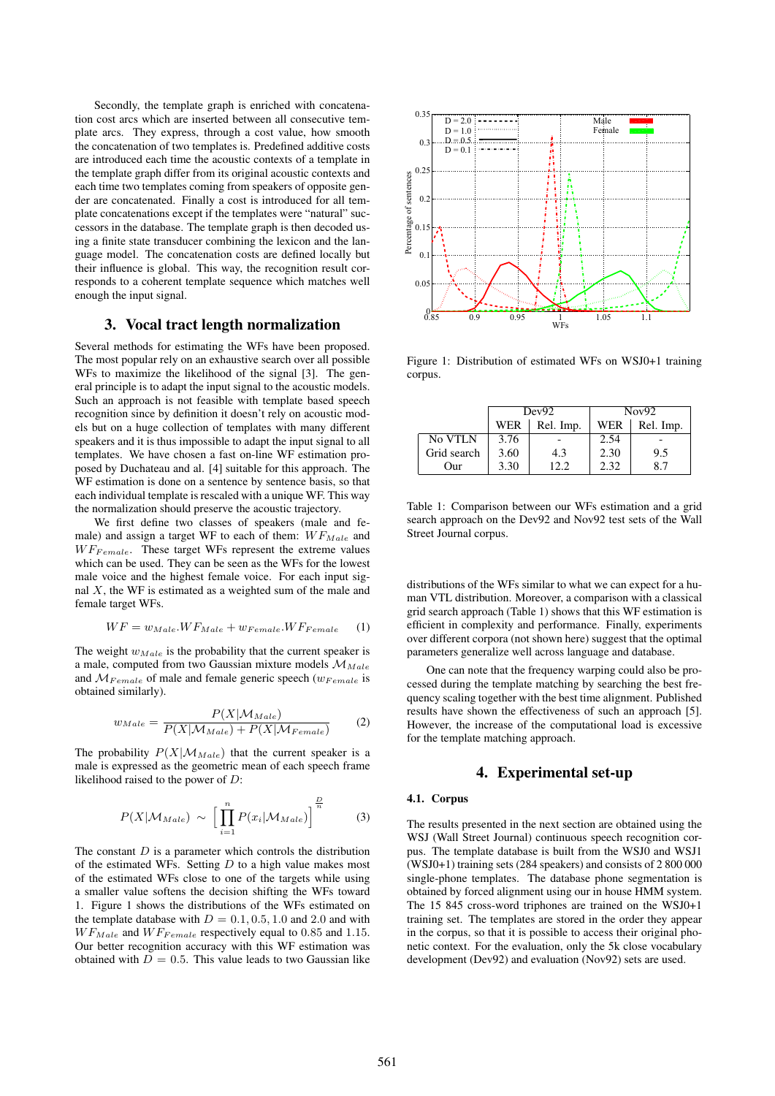Secondly, the template graph is enriched with concatenation cost arcs which are inserted between all consecutive template arcs. They express, through a cost value, how smooth the concatenation of two templates is. Predefined additive costs are introduced each time the acoustic contexts of a template in the template graph differ from its original acoustic contexts and each time two templates coming from speakers of opposite gender are concatenated. Finally a cost is introduced for all template concatenations except if the templates were "natural" successors in the database. The template graph is then decoded using a finite state transducer combining the lexicon and the language model. The concatenation costs are defined locally but their influence is global. This way, the recognition result corresponds to a coherent template sequence which matches well enough the input signal.

### 3. Vocal tract length normalization

Several methods for estimating the WFs have been proposed. The most popular rely on an exhaustive search over all possible WFs to maximize the likelihood of the signal [3]. The general principle is to adapt the input signal to the acoustic models. Such an approach is not feasible with template based speech recognition since by definition it doesn't rely on acoustic models but on a huge collection of templates with many different speakers and it is thus impossible to adapt the input signal to all templates. We have chosen a fast on-line WF estimation proposed by Duchateau and al. [4] suitable for this approach. The WF estimation is done on a sentence by sentence basis, so that each individual template is rescaled with a unique WF. This way the normalization should preserve the acoustic trajectory.

We first define two classes of speakers (male and female) and assign a target WF to each of them:  $WF_{Male}$  and  $WF_{Female}$ . These target WFs represent the extreme values which can be used. They can be seen as the WFs for the lowest male voice and the highest female voice. For each input signal  $X$ , the WF is estimated as a weighted sum of the male and female target WFs.

$$
WF = w_{Male}.WF_{Male} + w_{Female}.WF_{Female} \qquad (1)
$$

The weight  $w_{Male}$  is the probability that the current speaker is a male, computed from two Gaussian mixture models  $M_{Male}$ and  $M_{Female}$  of male and female generic speech ( $w_{Female}$  is obtained similarly).

$$
w_{Male} = \frac{P(X|M_{Male})}{P(X|M_{Male}) + P(X|M_{Female})}
$$
 (2)

The probability  $P(X|\mathcal{M}_{Male})$  that the current speaker is a male is expressed as the geometric mean of each speech frame likelihood raised to the power of D:

$$
P(X|M_{Male}) \sim \left[ \prod_{i=1}^{n} P(x_i|M_{Male}) \right]^{\frac{D}{n}}
$$
 (3)

The constant  $D$  is a parameter which controls the distribution of the estimated WFs. Setting  $D$  to a high value makes most of the estimated WFs close to one of the targets while using a smaller value softens the decision shifting the WFs toward 1. Figure 1 shows the distributions of the WFs estimated on the template database with  $D = 0.1, 0.5, 1.0$  and 2.0 and with  $WF_{Male}$  and  $WF_{Female}$  respectively equal to 0.85 and 1.15. Our better recognition accuracy with this WF estimation was obtained with  $D = 0.5$ . This value leads to two Gaussian like



Figure 1: Distribution of estimated WFs on WSJ0+1 training corpus.

|              |            | Dev92     | Nov92 |           |  |
|--------------|------------|-----------|-------|-----------|--|
|              | <b>WER</b> | Rel. Imp. | WER   | Rel. Imp. |  |
| No VTLN      | 3.76       |           | 2.54  |           |  |
| Grid search  | 3.60       | 4.3       | 2.30  | 9.5       |  |
| $_{\rm Our}$ | 3.30       | 122       | 2.32  | 8.7       |  |

Table 1: Comparison between our WFs estimation and a grid search approach on the Dev92 and Nov92 test sets of the Wall Street Journal corpus.

distributions of the WFs similar to what we can expect for a human VTL distribution. Moreover, a comparison with a classical grid search approach (Table 1) shows that this WF estimation is efficient in complexity and performance. Finally, experiments over different corpora (not shown here) suggest that the optimal parameters generalize well across language and database.

One can note that the frequency warping could also be processed during the template matching by searching the best frequency scaling together with the best time alignment. Published results have shown the effectiveness of such an approach [5]. However, the increase of the computational load is excessive for the template matching approach.

#### 4. Experimental set-up

#### 4.1. Corpus

The results presented in the next section are obtained using the WSJ (Wall Street Journal) continuous speech recognition corpus. The template database is built from the WSJ0 and WSJ1 (WSJ0+1) training sets (284 speakers) and consists of 2 800 000 single-phone templates. The database phone segmentation is obtained by forced alignment using our in house HMM system. The 15 845 cross-word triphones are trained on the WSJ0+1 training set. The templates are stored in the order they appear in the corpus, so that it is possible to access their original phonetic context. For the evaluation, only the 5k close vocabulary development (Dev92) and evaluation (Nov92) sets are used.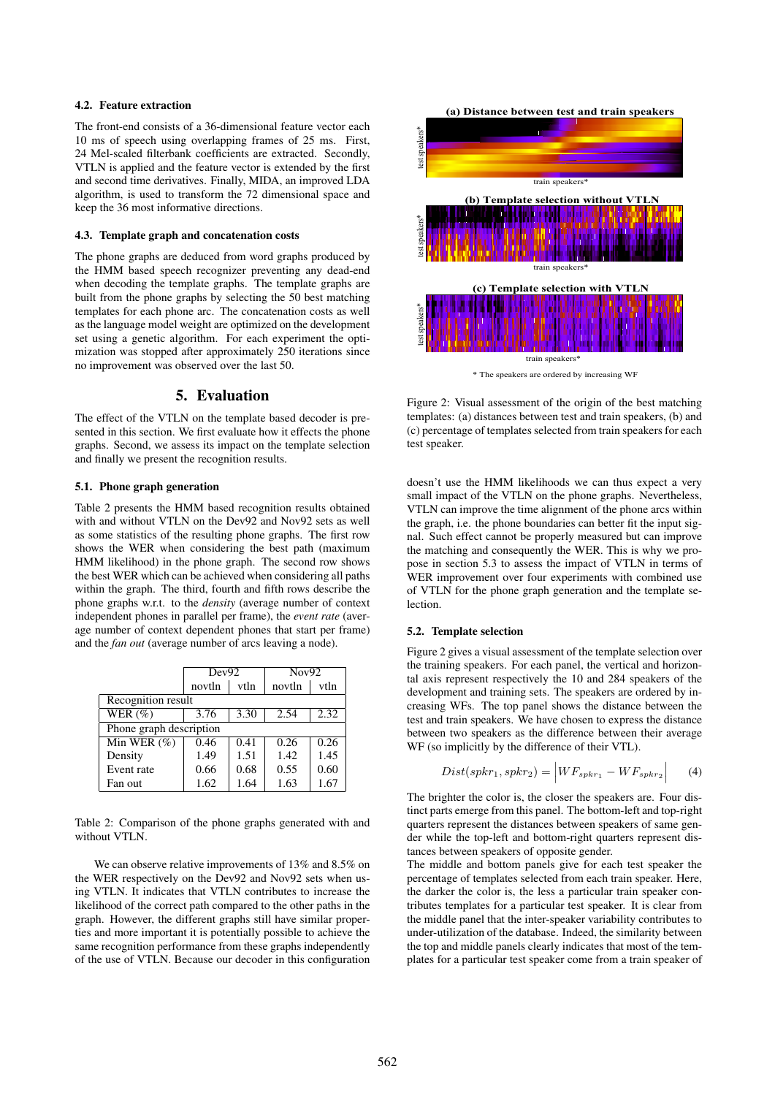### 4.2. Feature extraction

The front-end consists of a 36-dimensional feature vector each 10 ms of speech using overlapping frames of 25 ms. First, 24 Mel-scaled filterbank coefficients are extracted. Secondly, VTLN is applied and the feature vector is extended by the first and second time derivatives. Finally, MIDA, an improved LDA algorithm, is used to transform the 72 dimensional space and keep the 36 most informative directions.

#### 4.3. Template graph and concatenation costs

The phone graphs are deduced from word graphs produced by the HMM based speech recognizer preventing any dead-end when decoding the template graphs. The template graphs are built from the phone graphs by selecting the 50 best matching templates for each phone arc. The concatenation costs as well as the language model weight are optimized on the development set using a genetic algorithm. For each experiment the optimization was stopped after approximately 250 iterations since no improvement was observed over the last 50.

## 5. Evaluation

The effect of the VTLN on the template based decoder is presented in this section. We first evaluate how it effects the phone graphs. Second, we assess its impact on the template selection and finally we present the recognition results.

#### 5.1. Phone graph generation

Table 2 presents the HMM based recognition results obtained with and without VTLN on the Dev92 and Nov92 sets as well as some statistics of the resulting phone graphs. The first row shows the WER when considering the best path (maximum HMM likelihood) in the phone graph. The second row shows the best WER which can be achieved when considering all paths within the graph. The third, fourth and fifth rows describe the phone graphs w.r.t. to the *density* (average number of context independent phones in parallel per frame), the *event rate* (average number of context dependent phones that start per frame) and the *fan out* (average number of arcs leaving a node).

|                             | Dev92  |      | Nov92  |      |  |  |  |
|-----------------------------|--------|------|--------|------|--|--|--|
|                             | novtln | vtln | novtln | vtln |  |  |  |
| Recognition result          |        |      |        |      |  |  |  |
| $\overline{\text{WER}}$ (%) | 3.76   | 3.30 | 2.54   | 2.32 |  |  |  |
| Phone graph description     |        |      |        |      |  |  |  |
| Min WER $(\%)$              | 0.46   | 0.41 | 0.26   | 0.26 |  |  |  |
| Density                     | 1.49   | 1.51 | 1.42   | 1.45 |  |  |  |
| Event rate                  | 0.66   | 0.68 | 0.55   | 0.60 |  |  |  |
| Fan out                     | 1.62   | 1.64 | 1.63   | 1.67 |  |  |  |

Table 2: Comparison of the phone graphs generated with and without VTLN.

We can observe relative improvements of 13% and 8.5% on the WER respectively on the Dev92 and Nov92 sets when using VTLN. It indicates that VTLN contributes to increase the likelihood of the correct path compared to the other paths in the graph. However, the different graphs still have similar properties and more important it is potentially possible to achieve the same recognition performance from these graphs independently of the use of VTLN. Because our decoder in this configuration



Figure 2: Visual assessment of the origin of the best matching templates: (a) distances between test and train speakers, (b) and (c) percentage of templates selected from train speakers for each test speaker.

doesn't use the HMM likelihoods we can thus expect a very small impact of the VTLN on the phone graphs. Nevertheless, VTLN can improve the time alignment of the phone arcs within the graph, i.e. the phone boundaries can better fit the input signal. Such effect cannot be properly measured but can improve the matching and consequently the WER. This is why we propose in section 5.3 to assess the impact of VTLN in terms of WER improvement over four experiments with combined use of VTLN for the phone graph generation and the template selection.

#### 5.2. Template selection

Figure 2 gives a visual assessment of the template selection over the training speakers. For each panel, the vertical and horizontal axis represent respectively the 10 and 284 speakers of the development and training sets. The speakers are ordered by increasing WFs. The top panel shows the distance between the test and train speakers. We have chosen to express the distance between two speakers as the difference between their average WF (so implicitly by the difference of their VTL).

$$
Dist(spkr_1, spkr_2) = \left| WF_{spkr_1} - WF_{spkr_2} \right| \qquad (4)
$$

The brighter the color is, the closer the speakers are. Four distinct parts emerge from this panel. The bottom-left and top-right quarters represent the distances between speakers of same gender while the top-left and bottom-right quarters represent distances between speakers of opposite gender.

The middle and bottom panels give for each test speaker the percentage of templates selected from each train speaker. Here, the darker the color is, the less a particular train speaker contributes templates for a particular test speaker. It is clear from the middle panel that the inter-speaker variability contributes to under-utilization of the database. Indeed, the similarity between the top and middle panels clearly indicates that most of the templates for a particular test speaker come from a train speaker of